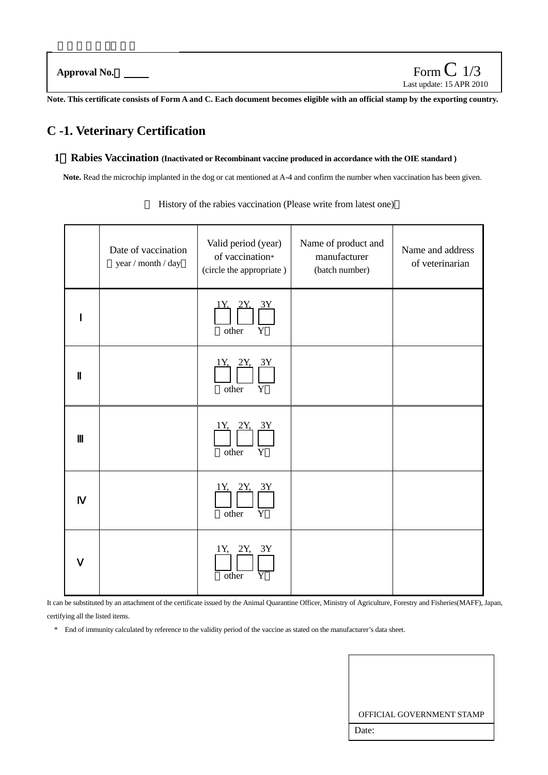**Note. This certificate consists of Form A and C. Each document becomes eligible with an official stamp by the exporting country.** 

# **C -1. Veterinary Certification**

#### **1**.**Rabies Vaccination (Inactivated or Recombinant vaccine produced in accordance with the OIE standard )**

**Note.** Read the microchip implanted in the dog or cat mentioned at A-4 and confirm the number when vaccination has been given.

| Date of vaccination<br>$year / month / day$ | Valid period (year)<br>of vaccination*<br>(circle the appropriate) | Name of product and<br>manufacturer<br>(batch number) | Name and address<br>of veterinarian |
|---------------------------------------------|--------------------------------------------------------------------|-------------------------------------------------------|-------------------------------------|
|                                             | <u>1Y. 2Y. 3Y</u><br>other<br>Y                                    |                                                       |                                     |
|                                             | <u>1Y. 2Y. 3Y</u><br>$\mathbf Y$<br>other                          |                                                       |                                     |
|                                             | 1Y.<br>3Y<br>Y<br>other                                            |                                                       |                                     |
|                                             | <u>IY, 2Y, 3Y</u><br>other $\overline{Y}$                          |                                                       |                                     |
|                                             | 1Y, 2Y, 3Y<br>other                                                |                                                       |                                     |

History of the rabies vaccination (Please write from latest one)

It can be substituted by an attachment of the certificate issued by the Animal Quarantine Officer, Ministry of Agriculture, Forestry and Fisheries(MAFF), Japan, certifying all the listed items.

\* End of immunity calculated by reference to the validity period of the vaccine as stated on the manufacturer's data sheet.

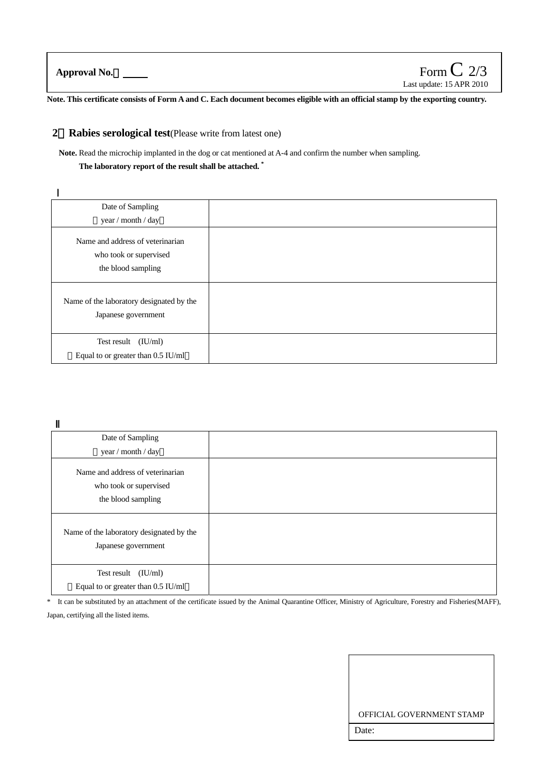**Approval No.**:

**Note. This certificate consists of Form A and C. Each document becomes eligible with an official stamp by the exporting country.**

### **2**.**Rabies serological test**(Please write from latest one)

**Note.** Read the microchip implanted in the dog or cat mentioned at A-4 and confirm the number when sampling.

**The laboratory report of the result shall be attached. \***

| Date of Sampling                                                                 |  |
|----------------------------------------------------------------------------------|--|
| year / month / day                                                               |  |
| Name and address of veterinarian<br>who took or supervised<br>the blood sampling |  |
| Name of the laboratory designated by the<br>Japanese government                  |  |
| Test result $(IU/ml)$<br>Equal to or greater than 0.5 IU/ml                      |  |

| Date of Sampling                                                                 |  |
|----------------------------------------------------------------------------------|--|
| year / month / day                                                               |  |
| Name and address of veterinarian<br>who took or supervised<br>the blood sampling |  |
| Name of the laboratory designated by the<br>Japanese government                  |  |
| Test result $(IU/ml)$<br>Equal to or greater than 0.5 IU/ml                      |  |

<sup>\*</sup> It can be substituted by an attachment of the certificate issued by the Animal Quarantine Officer, Ministry of Agriculture, Forestry and Fisheries(MAFF), Japan, certifying all the listed items.

| OFFICIAL GOVERNMENT STAMP |
|---------------------------|
| Date:                     |
|                           |